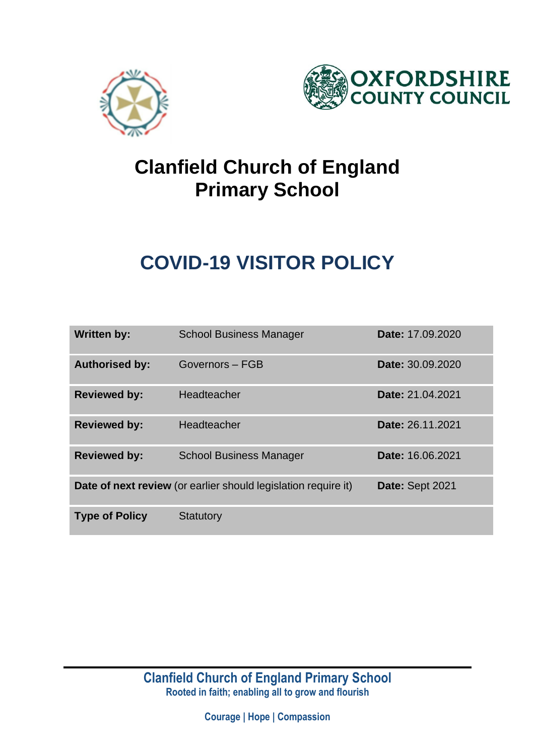



## **Clanfield Church of England Primary School**

# **COVID-19 VISITOR POLICY**

| <b>Written by:</b>    | <b>School Business Manager</b>                                 | Date: 17.09.2020 |
|-----------------------|----------------------------------------------------------------|------------------|
| <b>Authorised by:</b> | Governors - FGB                                                | Date: 30.09.2020 |
| <b>Reviewed by:</b>   | Headteacher                                                    | Date: 21.04.2021 |
| <b>Reviewed by:</b>   | Headteacher                                                    | Date: 26.11.2021 |
| <b>Reviewed by:</b>   | <b>School Business Manager</b>                                 | Date: 16.06.2021 |
|                       | Date of next review (or earlier should legislation require it) | Date: Sept 2021  |
| <b>Type of Policy</b> | <b>Statutory</b>                                               |                  |

**Clanfield Church of England Primary School Rooted in faith; enabling all to grow and flourish**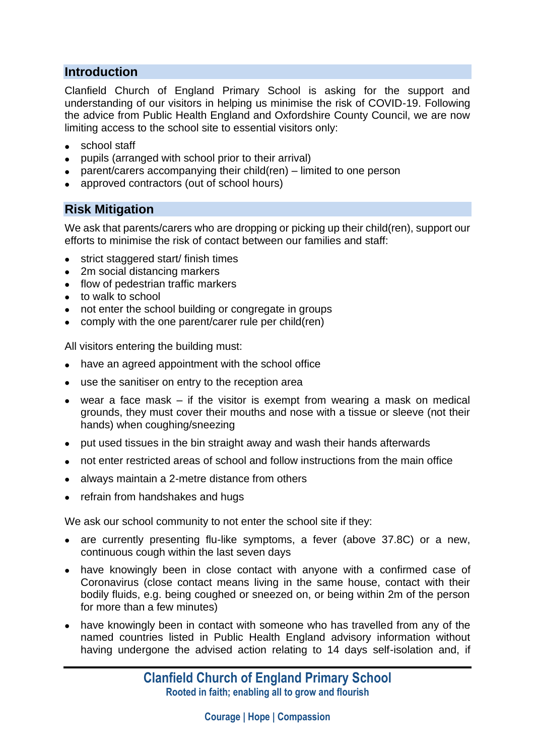### **Introduction**

Clanfield Church of England Primary School is asking for the support and understanding of our visitors in helping us minimise the risk of COVID-19. Following the advice from Public Health England and Oxfordshire County Council, we are now limiting access to the school site to essential visitors only:

- school staff
- pupils (arranged with school prior to their arrival)
- parent/carers accompanying their child(ren) limited to one person
- approved contractors (out of school hours)

### **Risk Mitigation**

We ask that parents/carers who are dropping or picking up their child(ren), support our efforts to minimise the risk of contact between our families and staff:

- strict staggered start/ finish times
- 2m social distancing markers
- flow of pedestrian traffic markers
- to walk to school
- not enter the school building or congregate in groups
- comply with the one parent/carer rule per child(ren)

All visitors entering the building must:

- have an agreed appointment with the school office
- use the sanitiser on entry to the reception area
- wear a face mask if the visitor is exempt from wearing a mask on medical grounds, they must cover their mouths and nose with a tissue or sleeve (not their hands) when coughing/sneezing
- put used tissues in the bin straight away and wash their hands afterwards
- not enter restricted areas of school and follow instructions from the main office
- always maintain a 2-metre distance from others
- refrain from handshakes and hugs

We ask our school community to not enter the school site if they:

- are currently presenting flu-like symptoms, a fever (above 37.8C) or a new, continuous cough within the last seven days
- have knowingly been in close contact with anyone with a confirmed case of Coronavirus (close contact means living in the same house, contact with their bodily fluids, e.g. being coughed or sneezed on, or being within 2m of the person for more than a few minutes)
- have knowingly been in contact with someone who has travelled from any of the named countries listed in Public Health England advisory information without having undergone the advised action relating to 14 days self-isolation and, if